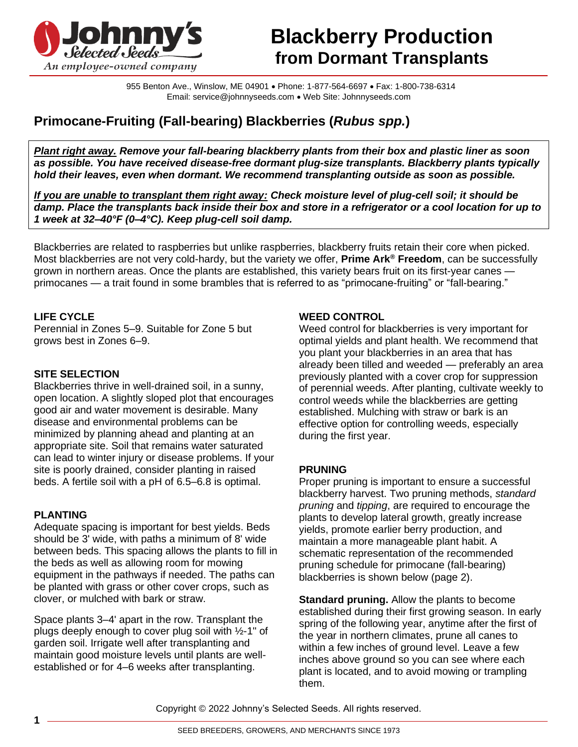

# **Blackberry Production from Dormant Transplants**

955 Benton Ave., Winslow, ME 04901 • Phone: 1-877-564-6697 • Fax: 1-800-738-6314 Email: service@johnnyseeds.com • Web Site: Johnnyseeds.com

# **Primocane-Fruiting (Fall-bearing) Blackberries (***Rubus spp.***)**

*Plant right away. Remove your fall-bearing blackberry plants from their box and plastic liner as soon as possible. You have received disease-free dormant plug-size transplants. Blackberry plants typically hold their leaves, even when dormant. We recommend transplanting outside as soon as possible.*

*If you are unable to transplant them right away: Check moisture level of plug-cell soil; it should be damp. Place the transplants back inside their box and store in a refrigerator or a cool location for up to 1 week at 32–40°F (0–4°C). Keep plug-cell soil damp.*

Blackberries are related to raspberries but unlike raspberries, blackberry fruits retain their core when picked. Most blackberries are not very cold-hardy, but the variety we offer, **Prime Ark® Freedom**, can be successfully grown in northern areas. Once the plants are established, this variety bears fruit on its first-year canes primocanes — a trait found in some brambles that is referred to as "primocane-fruiting" or "fall-bearing."

# **LIFE CYCLE**

Perennial in Zones 5–9. Suitable for Zone 5 but grows best in Zones 6–9.

#### **SITE SELECTION**

Blackberries thrive in well-drained soil, in a sunny, open location. A slightly sloped plot that encourages good air and water movement is desirable. Many disease and environmental problems can be minimized by planning ahead and planting at an appropriate site. Soil that remains water saturated can lead to winter injury or disease problems. If your site is poorly drained, consider planting in raised beds. A fertile soil with a pH of 6.5–6.8 is optimal.

# **PLANTING**

Adequate spacing is important for best yields. Beds should be 3' wide, with paths a minimum of 8' wide between beds. This spacing allows the plants to fill in the beds as well as allowing room for mowing equipment in the pathways if needed. The paths can be planted with grass or other cover crops, such as clover, or mulched with bark or straw.

Space plants 3–4' apart in the row. Transplant the plugs deeply enough to cover plug soil with ½-1" of garden soil. Irrigate well after transplanting and maintain good moisture levels until plants are wellestablished or for 4–6 weeks after transplanting.

#### **WEED CONTROL**

Weed control for blackberries is very important for optimal yields and plant health. We recommend that you plant your blackberries in an area that has already been tilled and weeded — preferably an area previously planted with a cover crop for suppression of perennial weeds. After planting, cultivate weekly to control weeds while the blackberries are getting established. Mulching with straw or bark is an effective option for controlling weeds, especially during the first year.

#### **PRUNING**

Proper pruning is important to ensure a successful blackberry harvest. Two pruning methods, *standard pruning* and *tipping*, are required to encourage the plants to develop lateral growth, greatly increase yields, promote earlier berry production, and maintain a more manageable plant habit. A schematic representation of the recommended pruning schedule for primocane (fall-bearing) blackberries is shown below (page 2).

**Standard pruning.** Allow the plants to become established during their first growing season. In early spring of the following year, anytime after the first of the year in northern climates, prune all canes to within a few inches of ground level. Leave a few inches above ground so you can see where each plant is located, and to avoid mowing or trampling them.

Copyright © 2022 Johnny's Selected Seeds. All rights reserved.

**1**